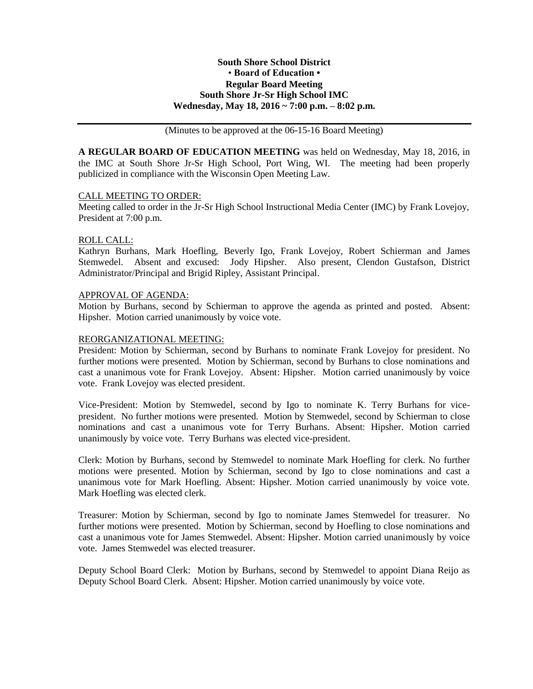## **South Shore School District** • **Board of Education • Regular Board Meeting South Shore Jr-Sr High School IMC Wednesday, May 18, 2016 ~ 7:00 p.m. – 8:02 p.m.**

(Minutes to be approved at the 06-15-16 Board Meeting)

**A REGULAR BOARD OF EDUCATION MEETING** was held on Wednesday, May 18, 2016, in the IMC at South Shore Jr-Sr High School, Port Wing, WI. The meeting had been properly publicized in compliance with the Wisconsin Open Meeting Law.

## CALL MEETING TO ORDER:

Meeting called to order in the Jr-Sr High School Instructional Media Center (IMC) by Frank Lovejoy, President at 7:00 p.m.

## ROLL CALL:

Kathryn Burhans, Mark Hoefling, Beverly Igo, Frank Lovejoy, Robert Schierman and James Stemwedel. Absent and excused: Jody Hipsher. Also present, Clendon Gustafson, District Administrator/Principal and Brigid Ripley, Assistant Principal.

## APPROVAL OF AGENDA:

Motion by Burhans, second by Schierman to approve the agenda as printed and posted. Absent: Hipsher. Motion carried unanimously by voice vote.

## REORGANIZATIONAL MEETING:

President: Motion by Schierman, second by Burhans to nominate Frank Lovejoy for president. No further motions were presented. Motion by Schierman, second by Burhans to close nominations and cast a unanimous vote for Frank Lovejoy. Absent: Hipsher. Motion carried unanimously by voice vote. Frank Lovejoy was elected president.

Vice-President: Motion by Stemwedel, second by Igo to nominate K. Terry Burhans for vicepresident. No further motions were presented. Motion by Stemwedel, second by Schierman to close nominations and cast a unanimous vote for Terry Burhans. Absent: Hipsher. Motion carried unanimously by voice vote. Terry Burhans was elected vice-president.

Clerk: Motion by Burhans, second by Stemwedel to nominate Mark Hoefling for clerk. No further motions were presented. Motion by Schierman, second by Igo to close nominations and cast a unanimous vote for Mark Hoefling. Absent: Hipsher. Motion carried unanimously by voice vote. Mark Hoefling was elected clerk.

Treasurer: Motion by Schierman, second by Igo to nominate James Stemwedel for treasurer. No further motions were presented. Motion by Schierman, second by Hoefling to close nominations and cast a unanimous vote for James Stemwedel. Absent: Hipsher. Motion carried unanimously by voice vote. James Stemwedel was elected treasurer.

Deputy School Board Clerk: Motion by Burhans, second by Stemwedel to appoint Diana Reijo as Deputy School Board Clerk. Absent: Hipsher. Motion carried unanimously by voice vote.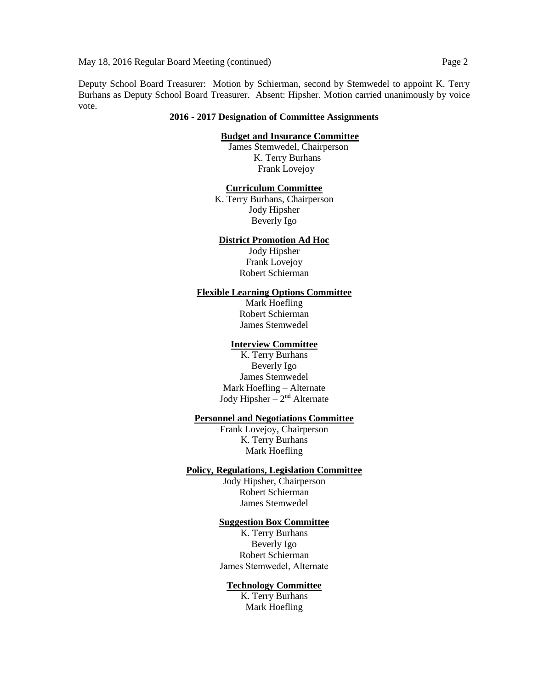Deputy School Board Treasurer: Motion by Schierman, second by Stemwedel to appoint K. Terry Burhans as Deputy School Board Treasurer. Absent: Hipsher. Motion carried unanimously by voice vote.

### **2016 - 2017 Designation of Committee Assignments**

### **Budget and Insurance Committee**

 James Stemwedel, Chairperson K. Terry Burhans Frank Lovejoy

#### **Curriculum Committee**

K. Terry Burhans, Chairperson Jody Hipsher Beverly Igo

## **District Promotion Ad Hoc**

Jody Hipsher Frank Lovejoy Robert Schierman

### **Flexible Learning Options Committee**

Mark Hoefling Robert Schierman James Stemwedel

# **Interview Committee**

K. Terry Burhans Beverly Igo James Stemwedel Mark Hoefling – Alternate Jody Hipsher  $-2^{nd}$  Alternate

## **Personnel and Negotiations Committee**

Frank Lovejoy, Chairperson K. Terry Burhans Mark Hoefling

## **Policy, Regulations, Legislation Committee**

Jody Hipsher, Chairperson Robert Schierman James Stemwedel

#### **Suggestion Box Committee**

K. Terry Burhans Beverly Igo Robert Schierman James Stemwedel, Alternate

#### **Technology Committee**

K. Terry Burhans Mark Hoefling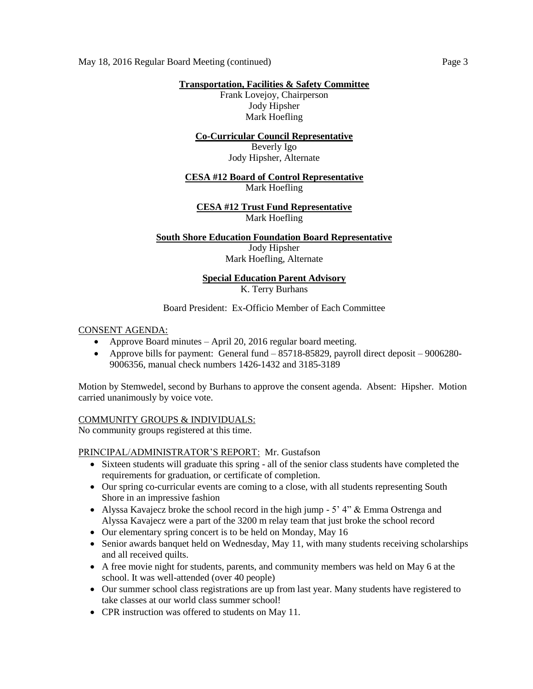**Transportation, Facilities & Safety Committee**

Frank Lovejoy, Chairperson Jody Hipsher Mark Hoefling

# **Co-Curricular Council Representative**

Beverly Igo Jody Hipsher, Alternate

## **CESA #12 Board of Control Representative** Mark Hoefling

# **CESA #12 Trust Fund Representative** Mark Hoefling

# **South Shore Education Foundation Board Representative**

Jody Hipsher Mark Hoefling, Alternate

# **Special Education Parent Advisory** K. Terry Burhans

# Board President: Ex-Officio Member of Each Committee

# CONSENT AGENDA:

- Approve Board minutes April 20, 2016 regular board meeting.
- Approve bills for payment: General fund  $-85718-85829$ , payroll direct deposit  $-9006280-$ 9006356, manual check numbers 1426-1432 and 3185-3189

Motion by Stemwedel, second by Burhans to approve the consent agenda. Absent: Hipsher. Motion carried unanimously by voice vote.

# COMMUNITY GROUPS & INDIVIDUALS:

No community groups registered at this time.

# PRINCIPAL/ADMINISTRATOR'S REPORT: Mr. Gustafson

- Sixteen students will graduate this spring all of the senior class students have completed the requirements for graduation, or certificate of completion.
- Our spring co-curricular events are coming to a close, with all students representing South Shore in an impressive fashion
- Alyssa Kavajecz broke the school record in the high jump  $-5'$  4" & Emma Ostrenga and Alyssa Kavajecz were a part of the 3200 m relay team that just broke the school record
- Our elementary spring concert is to be held on Monday, May 16
- Senior awards banquet held on Wednesday, May 11, with many students receiving scholarships and all received quilts.
- A free movie night for students, parents, and community members was held on May 6 at the school. It was well-attended (over 40 people)
- Our summer school class registrations are up from last year. Many students have registered to take classes at our world class summer school!
- CPR instruction was offered to students on May 11.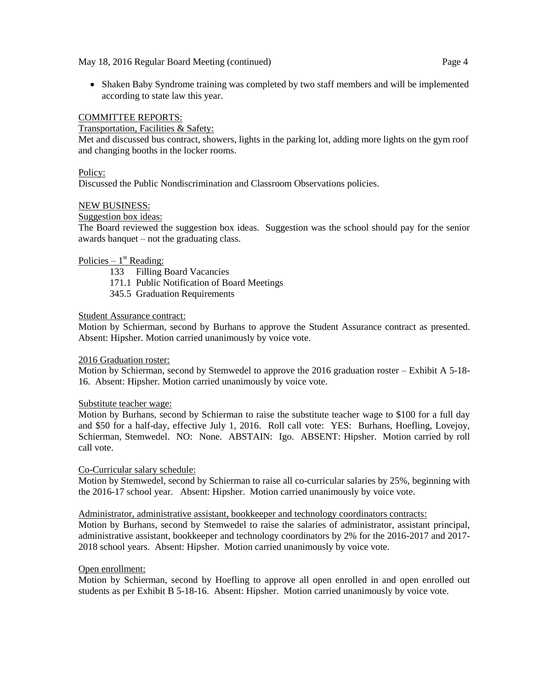• Shaken Baby Syndrome training was completed by two staff members and will be implemented according to state law this year.

# COMMITTEE REPORTS:

Transportation, Facilities & Safety:

Met and discussed bus contract, showers, lights in the parking lot, adding more lights on the gym roof and changing booths in the locker rooms.

## Policy:

Discussed the Public Nondiscrimination and Classroom Observations policies.

## NEW BUSINESS:

Suggestion box ideas:

The Board reviewed the suggestion box ideas. Suggestion was the school should pay for the senior awards banquet – not the graduating class.

# Policies –  $1<sup>st</sup>$  Reading:

133 Filling Board Vacancies

- 171.1 Public Notification of Board Meetings
- 345.5 Graduation Requirements

## Student Assurance contract:

Motion by Schierman, second by Burhans to approve the Student Assurance contract as presented. Absent: Hipsher. Motion carried unanimously by voice vote.

### 2016 Graduation roster:

Motion by Schierman, second by Stemwedel to approve the 2016 graduation roster – Exhibit A 5-18- 16. Absent: Hipsher. Motion carried unanimously by voice vote.

### Substitute teacher wage:

Motion by Burhans, second by Schierman to raise the substitute teacher wage to \$100 for a full day and \$50 for a half-day, effective July 1, 2016. Roll call vote: YES: Burhans, Hoefling, Lovejoy, Schierman, Stemwedel. NO: None. ABSTAIN: Igo. ABSENT: Hipsher. Motion carried by roll call vote.

### Co-Curricular salary schedule:

Motion by Stemwedel, second by Schierman to raise all co-curricular salaries by 25%, beginning with the 2016-17 school year. Absent: Hipsher. Motion carried unanimously by voice vote.

### Administrator, administrative assistant, bookkeeper and technology coordinators contracts:

Motion by Burhans, second by Stemwedel to raise the salaries of administrator, assistant principal, administrative assistant, bookkeeper and technology coordinators by 2% for the 2016-2017 and 2017- 2018 school years. Absent: Hipsher. Motion carried unanimously by voice vote.

### Open enrollment:

Motion by Schierman, second by Hoefling to approve all open enrolled in and open enrolled out students as per Exhibit B 5-18-16. Absent: Hipsher. Motion carried unanimously by voice vote.